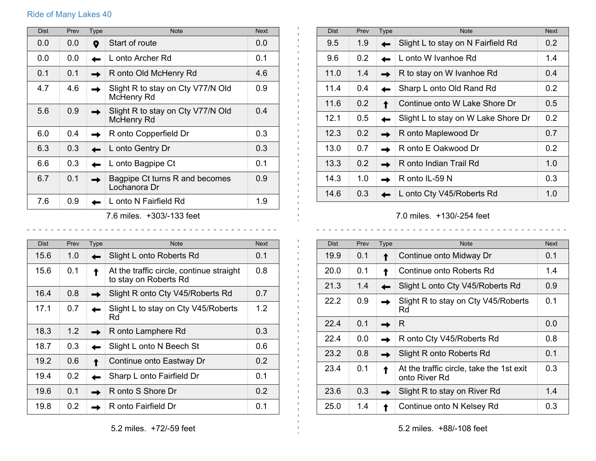## Ride of Many Lakes 40

| <b>Dist</b> | Prev | Type | <b>Note</b>                                     | <b>Next</b> |
|-------------|------|------|-------------------------------------------------|-------------|
| 0.0         | 0.0  | 9    | Start of route                                  | 0.0         |
| 0.0         | 0.0  |      | L onto Archer Rd                                | 0.1         |
| 0.1         | 0.1  |      | R onto Old McHenry Rd                           | 4.6         |
| 4.7         | 4.6  |      | Slight R to stay on Cty V77/N Old<br>McHenry Rd | 0.9         |
| 5.6         | 0.9  |      | Slight R to stay on Cty V77/N Old<br>McHenry Rd | 0.4         |
| 6.0         | 0.4  |      | R onto Copperfield Dr                           | 0.3         |
| 6.3         | 0.3  |      | L onto Gentry Dr                                | 0.3         |
| 6.6         | 0.3  |      | L onto Bagpipe Ct                               | 0.1         |
| 6.7         | 0.1  |      | Bagpipe Ct turns R and becomes<br>Lochanora Dr  | 0.9         |
| 7.6         | 0.9  |      | L onto N Fairfield Rd                           | 1.9         |
|             |      |      | $7.6$ miloo $\pm 202/122$ foot                  |             |

7.6 miles. +303/-133 feet

| <b>Dist</b> | Prev | <b>Type</b> | <b>Note</b>                                                       | <b>Next</b> |
|-------------|------|-------------|-------------------------------------------------------------------|-------------|
| 15.6        | 1.0  |             | Slight L onto Roberts Rd                                          | 0.1         |
| 15.6        | 0.1  |             | At the traffic circle, continue straight<br>to stay on Roberts Rd | 0.8         |
| 16.4        | 0.8  |             | Slight R onto Cty V45/Roberts Rd                                  | 0.7         |
| 17.1        | 0.7  |             | Slight L to stay on Cty V45/Roberts<br>Rd                         | 1.2         |
| 18.3        | 1.2  |             | R onto Lamphere Rd                                                | 0.3         |
| 18.7        | 0.3  |             | Slight L onto N Beech St                                          | 0.6         |
| 19.2        | 0.6  |             | Continue onto Eastway Dr                                          | 0.2         |
| 19.4        | 0.2  |             | Sharp L onto Fairfield Dr                                         | 0.1         |
| 19.6        | 0.1  |             | R onto S Shore Dr                                                 | 0.2         |
| 19.8        | 0.2  |             | R onto Fairfield Dr                                               | 0.1         |

| <b>Dist</b> | Prev             | <b>Type</b> | <b>Note</b>                         | <b>Next</b>      |
|-------------|------------------|-------------|-------------------------------------|------------------|
| 9.5         | 1.9              |             | Slight L to stay on N Fairfield Rd  | 0.2              |
| 9.6         | 0.2 <sub>0</sub> |             | L onto W Ivanhoe Rd                 | 1.4              |
| 11.0        | 1.4              |             | R to stay on W Ivanhoe Rd           | 0.4              |
| 11.4        | 0.4              |             | Sharp L onto Old Rand Rd            | 0.2 <sub>0</sub> |
| 11.6        | 0.2              |             | Continue onto W Lake Shore Dr       | 0.5              |
| 12.1        | 0.5              |             | Slight L to stay on W Lake Shore Dr | 0.2              |
| 12.3        | 0.2              |             | R onto Maplewood Dr                 | 0.7              |
| 13.0        | 0.7              |             | R onto E Oakwood Dr                 | 0.2              |
| 13.3        | 0.2              |             | R onto Indian Trail Rd              | 1.0              |
| 14.3        | 1.0              |             | R onto IL-59 N                      | 0.3              |
| 14.6        | 0.3              |             | L onto Cty V45/Roberts Rd           | 1.0              |

7.0 miles. +130/-254 feet

| <b>Dist</b> | Prev | Type | <b>Note</b>                                               | <b>Next</b> |
|-------------|------|------|-----------------------------------------------------------|-------------|
| 19.9        | 0.1  |      | Continue onto Midway Dr                                   | 0.1         |
| 20.0        | 0.1  |      | Continue onto Roberts Rd                                  | 1.4         |
| 21.3        | 1.4  |      | Slight L onto Cty V45/Roberts Rd                          | 0.9         |
| 22.2        | 0.9  |      | Slight R to stay on Cty V45/Roberts<br>Rd                 | 0.1         |
| 224         | 0.1  |      | R                                                         | 0.0         |
| 22.4        | 0.0  |      | R onto Cty V45/Roberts Rd                                 | 0.8         |
| 23.2        | 0.8  |      | Slight R onto Roberts Rd                                  | 0.1         |
| 23.4        | 0.1  |      | At the traffic circle, take the 1st exit<br>onto River Rd | 0.3         |
| 23.6        | 0.3  |      | Slight R to stay on River Rd                              | 1.4         |
| 25.0        | 1.4  |      | Continue onto N Kelsey Rd                                 | 0.3         |

5.2 miles. +88/-108 feet